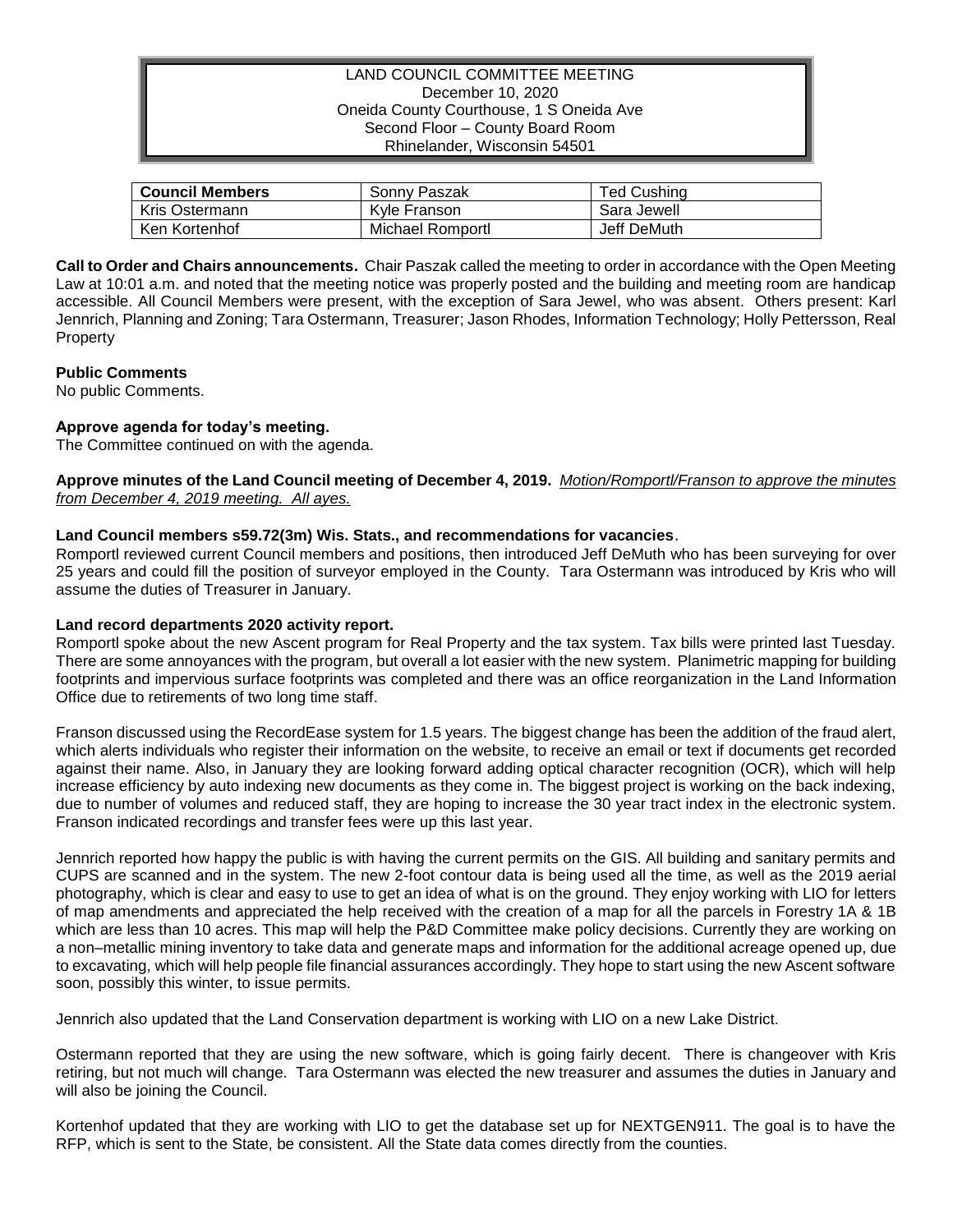# LAND COUNCIL COMMITTEE MEETING December 10, 2020 Oneida County Courthouse, 1 S Oneida Ave Second Floor – County Board Room Rhinelander, Wisconsin 54501

| <b>Council Members</b> | Sonny Paszak     | <b>Ted Cushing</b> |
|------------------------|------------------|--------------------|
| Kris Ostermann         | Kyle Franson     | Sara Jewell        |
| Ken Kortenhof          | Michael Romportl | Jeff DeMuth        |

**Call to Order and Chairs announcements.** Chair Paszak called the meeting to order in accordance with the Open Meeting Law at 10:01 a.m. and noted that the meeting notice was properly posted and the building and meeting room are handicap accessible. All Council Members were present, with the exception of Sara Jewel, who was absent. Others present: Karl Jennrich, Planning and Zoning; Tara Ostermann, Treasurer; Jason Rhodes, Information Technology; Holly Pettersson, Real Property

### **Public Comments**

No public Comments.

# **Approve agenda for today's meeting.**

The Committee continued on with the agenda.

**Approve minutes of the Land Council meeting of December 4, 2019.** *Motion/Romportl/Franson to approve the minutes from December 4, 2019 meeting. All ayes.* 

### **Land Council members s59.72(3m) Wis. Stats., and recommendations for vacancies**.

Romportl reviewed current Council members and positions, then introduced Jeff DeMuth who has been surveying for over 25 years and could fill the position of surveyor employed in the County. Tara Ostermann was introduced by Kris who will assume the duties of Treasurer in January.

### **Land record departments 2020 activity report.**

Romportl spoke about the new Ascent program for Real Property and the tax system. Tax bills were printed last Tuesday. There are some annoyances with the program, but overall a lot easier with the new system. Planimetric mapping for building footprints and impervious surface footprints was completed and there was an office reorganization in the Land Information Office due to retirements of two long time staff.

Franson discussed using the RecordEase system for 1.5 years. The biggest change has been the addition of the fraud alert, which alerts individuals who register their information on the website, to receive an email or text if documents get recorded against their name. Also, in January they are looking forward adding optical character recognition (OCR), which will help increase efficiency by auto indexing new documents as they come in. The biggest project is working on the back indexing, due to number of volumes and reduced staff, they are hoping to increase the 30 year tract index in the electronic system. Franson indicated recordings and transfer fees were up this last year.

Jennrich reported how happy the public is with having the current permits on the GIS. All building and sanitary permits and CUPS are scanned and in the system. The new 2-foot contour data is being used all the time, as well as the 2019 aerial photography, which is clear and easy to use to get an idea of what is on the ground. They enjoy working with LIO for letters of map amendments and appreciated the help received with the creation of a map for all the parcels in Forestry 1A & 1B which are less than 10 acres. This map will help the P&D Committee make policy decisions. Currently they are working on a non–metallic mining inventory to take data and generate maps and information for the additional acreage opened up, due to excavating, which will help people file financial assurances accordingly. They hope to start using the new Ascent software soon, possibly this winter, to issue permits.

Jennrich also updated that the Land Conservation department is working with LIO on a new Lake District.

Ostermann reported that they are using the new software, which is going fairly decent. There is changeover with Kris retiring, but not much will change. Tara Ostermann was elected the new treasurer and assumes the duties in January and will also be joining the Council.

Kortenhof updated that they are working with LIO to get the database set up for NEXTGEN911. The goal is to have the RFP, which is sent to the State, be consistent. All the State data comes directly from the counties.